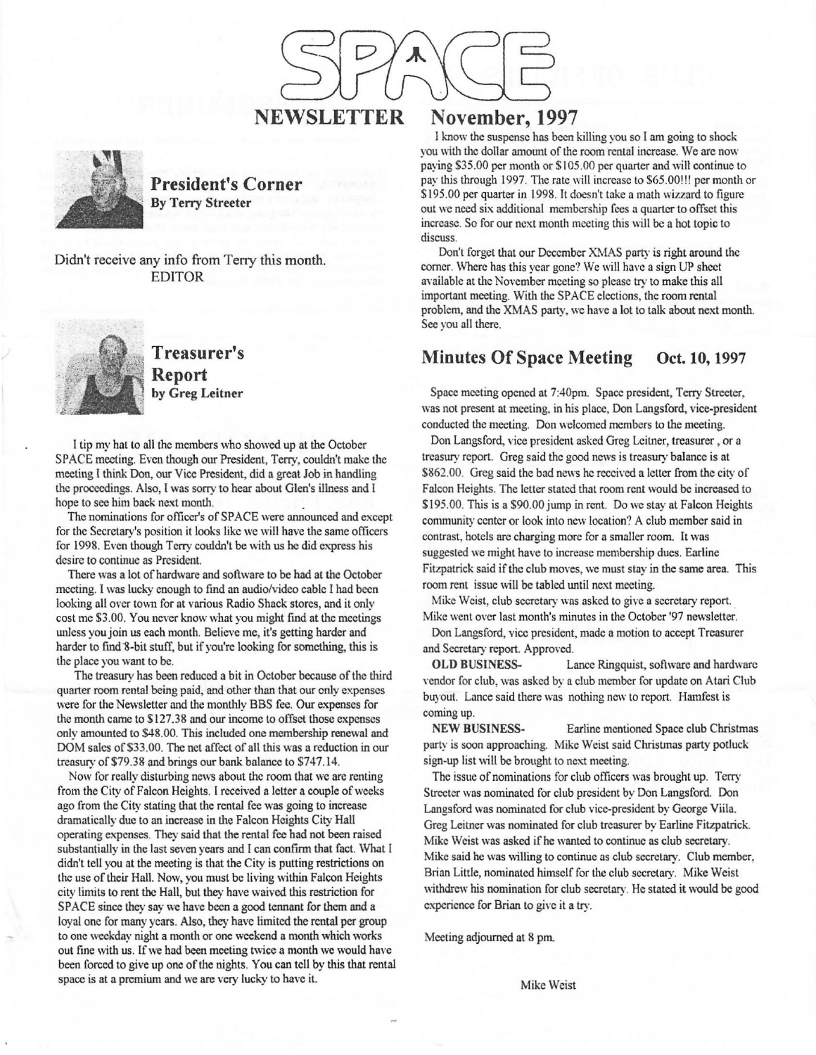

**President's Corner By Terry Streeter** 

Didn't receive any info from Teny this month. EDITOR



. ;-;,\_~ **Treasurer's**  :\\i **Report by Greg Leitner** 

I tip my hat to all the members who showed up at the October SPACE meeting. Even though our President, Terry, couldn't make the meeting l think Don, our Vice President, did a great Job in handling the proceedings. Also, I was sorry to hear about Glen's illness and I hope to see him back next month.

The nominations for officer's of SPACE were announced and except for the Secretary's position it looks like we will have the same officers for 1998. Even though Terry couldn't be with us he did express his desire to continue as President.

There was a lot of hardware and software to be had at the October meeting. I was lucky enough to find an audio/video cable I had been looking all over town for at various Radio Shack stores, and it only cost me \$3.00. You never know what you might find at the meetings unless you join us each month. Believe me, it's getting harder and harder to find 8-bit stuff, but if you're looking for something, this is the place you want to be.

The treasury has been reduced a bit in October because of the third quarter room rental being paid, and other than that our only expenses were for the Newsletter and the monthly BBS fee. Our expenses for the month came to \$127.38 and our income to offset those expenses only amounted to \$48.00. This included one membership renewal and DOM sales of \$33.00. The net affect of all this was a reduction in our treasury of \$79.38 and brings our bank balance to \$747.14.

Now for really disturbing news about the room that we are renting from the City of Falcon Heights. I received a letter a couple of weeks ago from the City stating that the rental fee was going to increase dramatically due to an increase in the Falcon Heights City Hall operating expenses. They said that the rental fee had not been raised substantially in the last seven years and I can confirm that fact. What I didn't tell you at the meeting is that the City is putting restrictions on the use of their Hall. Now, you must be living within Falcon Heights city limits to rent the Hall, but they have waived this restriction for SPACE since they say we have been a good tennant for them and a loyal one for many years. Also, they have limited the rental per group to one weekday night a month or one weekend a month which works out fine with us. If we had been meeting twice a month we would have been forced to give up one of the nights. You can tell by this that rental space is at a premium and we are very lucky to have it.

## November, 1997

I know the suspense has been killing you so I am going to shock you with the dollar amount of the room rental increase. We are now paying \$35.00 per month or \$105.00 per quarter and will continue to pay this through 1997. The rate will increase to \$65.00!!! per month or \$195.00 per quarter in 1998. It doesn't take a math wizzard to figure out we need six additional membership fees a quarter to offset this increase. So for our next month meeting this will be a hot topic to discuss.

Don't forget that our December XMAS party is right around the corner. Where has this year gone? We will have a sign UP sheet available at the November meeting so please try to make this all important meeting. With the SPACE elections, the room rental problem, and the XMAS party, we have a lot to talk about next month. See you all there.

## **Minutes Of Space Meeting Oct. 10, 1997**

Space meeting opened at 7:40pm. Space president, Terry Streeter, was not present at meeting. in his place, Don Langsford, vice-president conducted the meeting. Don welcomed members to the meeting.

Don Langsford, vice president asked Greg Leitner, treasurer , or a treasury report. Greg said the good news is treasury balance is at \$862.00. Greg said the bad news he received a letter from the city of Falcon Heights. The letter stated that room rent would be increased to \$195.00. This is a \$90.00 jump in rent. Do we stay at Falcon Heights community center or look into new location? A club member said in contrast, hotels are charging more for a smaller room. It was suggested we might have to increase membership dues. Earline Fitzpatrick said if the club moves, we must stay in the same area. This room rent issue will be tabled until next meeting.

Mike Weist, club secretary was asked to give a secretary report. Mike went over last month's minutes in the October '97 newsletter.

Don Langsford, vice president, made a motion to accept Treasurer and Secretary report. Approved.

**OLD BUSINESS..** Lance Ringquist, software and hardware vendor for club, was asked by a club member for update on Atari Club buyout. Lance said there was nothing new to report. Hamfest is coming up.

**NEW BUSINESS-** Earline mentioned Space club Christmas party is soon approaching. Mike Weist said Christmas party polluck sign-up list will be brought to next meeting.

The issue of nominations for club officers was brought up. Terry Streeter was nominated for club president by Don Langsford. Don Langsford was nominated for club vice-president by George Viila. Greg Leitner was nominated for club treasurer by Earline Fitzpatrick. Mike Weist was asked if he wanted to continue as club secretary. Mike said he was willing to continue as club secretary. Club member, Brian Little, nominated himself for the club secretary. Mike Weist withdrew his nomination for club secretary. He stated it would be good experience for Brian to give it a try.

Meeting adjourned at 8 pm.